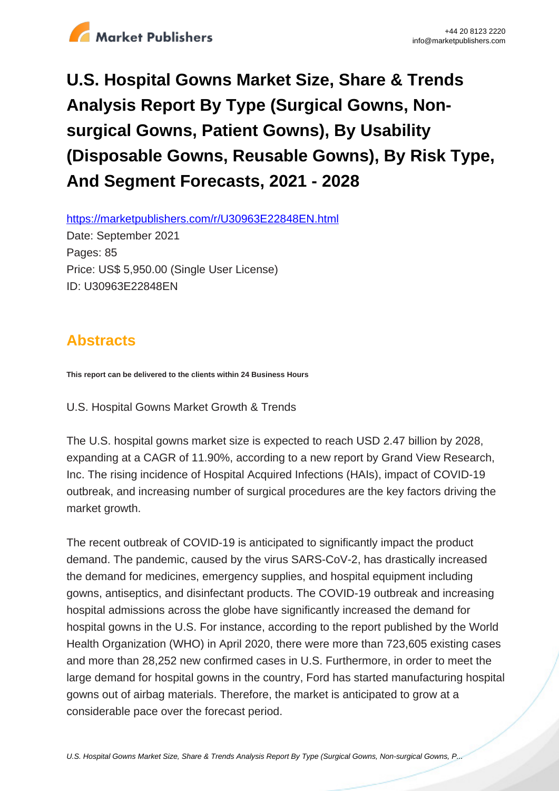

# **U.S. Hospital Gowns Market Size, Share & Trends Analysis Report By Type (Surgical Gowns, Nonsurgical Gowns, Patient Gowns), By Usability (Disposable Gowns, Reusable Gowns), By Risk Type, And Segment Forecasts, 2021 - 2028**

https://marketpublishers.com/r/U30963E22848EN.html

Date: September 2021 Pages: 85 Price: US\$ 5,950.00 (Single User License) ID: U30963E22848EN

# **Abstracts**

**This report can be delivered to the clients within 24 Business Hours**

U.S. Hospital Gowns Market Growth & Trends

The U.S. hospital gowns market size is expected to reach USD 2.47 billion by 2028, expanding at a CAGR of 11.90%, according to a new report by Grand View Research, Inc. The rising incidence of Hospital Acquired Infections (HAIs), impact of COVID-19 outbreak, and increasing number of surgical procedures are the key factors driving the market growth.

The recent outbreak of COVID-19 is anticipated to significantly impact the product demand. The pandemic, caused by the virus SARS-CoV-2, has drastically increased the demand for medicines, emergency supplies, and hospital equipment including gowns, antiseptics, and disinfectant products. The COVID-19 outbreak and increasing hospital admissions across the globe have significantly increased the demand for hospital gowns in the U.S. For instance, according to the report published by the World Health Organization (WHO) in April 2020, there were more than 723,605 existing cases and more than 28,252 new confirmed cases in U.S. Furthermore, in order to meet the large demand for hospital gowns in the country, Ford has started manufacturing hospital gowns out of airbag materials. Therefore, the market is anticipated to grow at a considerable pace over the forecast period.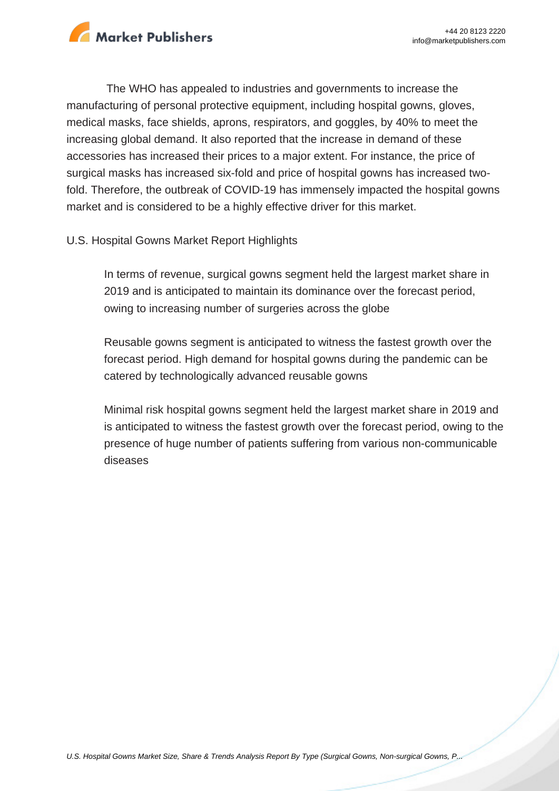

The WHO has appealed to industries and governments to increase the manufacturing of personal protective equipment, including hospital gowns, gloves, medical masks, face shields, aprons, respirators, and goggles, by 40% to meet the increasing global demand. It also reported that the increase in demand of these accessories has increased their prices to a major extent. For instance, the price of surgical masks has increased six-fold and price of hospital gowns has increased twofold. Therefore, the outbreak of COVID-19 has immensely impacted the hospital gowns market and is considered to be a highly effective driver for this market.

#### U.S. Hospital Gowns Market Report Highlights

In terms of revenue, surgical gowns segment held the largest market share in 2019 and is anticipated to maintain its dominance over the forecast period, owing to increasing number of surgeries across the globe

Reusable gowns segment is anticipated to witness the fastest growth over the forecast period. High demand for hospital gowns during the pandemic can be catered by technologically advanced reusable gowns

Minimal risk hospital gowns segment held the largest market share in 2019 and is anticipated to witness the fastest growth over the forecast period, owing to the presence of huge number of patients suffering from various non-communicable diseases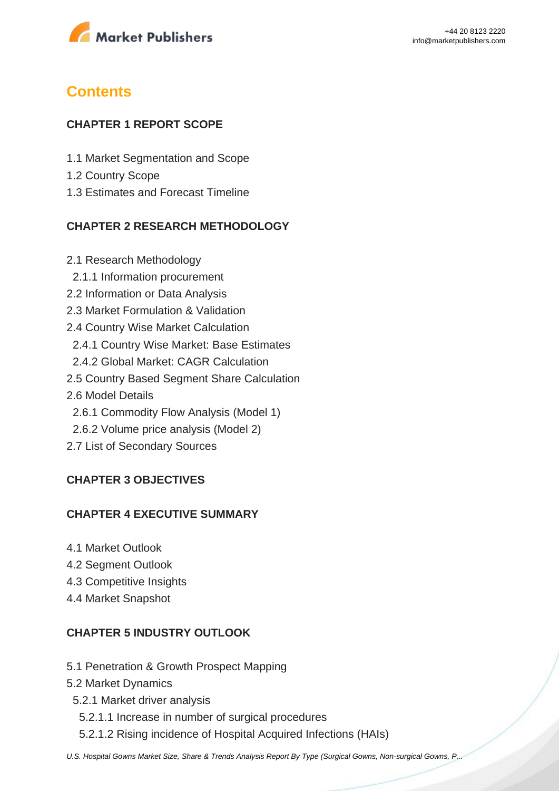

# **Contents**

#### **CHAPTER 1 REPORT SCOPE**

- 1.1 Market Segmentation and Scope
- 1.2 Country Scope
- 1.3 Estimates and Forecast Timeline

## **CHAPTER 2 RESEARCH METHODOLOGY**

2.1 Research Methodology 2.1.1 Information procurement 2.2 Information or Data Analysis 2.3 Market Formulation & Validation 2.4 Country Wise Market Calculation 2.4.1 Country Wise Market: Base Estimates 2.4.2 Global Market: CAGR Calculation 2.5 Country Based Segment Share Calculation 2.6 Model Details 2.6.1 Commodity Flow Analysis (Model 1) 2.6.2 Volume price analysis (Model 2) 2.7 List of Secondary Sources

# **CHAPTER 3 OBJECTIVES**

#### **CHAPTER 4 EXECUTIVE SUMMARY**

- 4.1 Market Outlook
- 4.2 Segment Outlook
- 4.3 Competitive Insights
- 4.4 Market Snapshot

## **CHAPTER 5 INDUSTRY OUTLOOK**

- 5.1 Penetration & Growth Prospect Mapping
- 5.2 Market Dynamics
- 5.2.1 Market driver analysis
	- 5.2.1.1 Increase in number of surgical procedures
	- 5.2.1.2 Rising incidence of Hospital Acquired Infections (HAIs)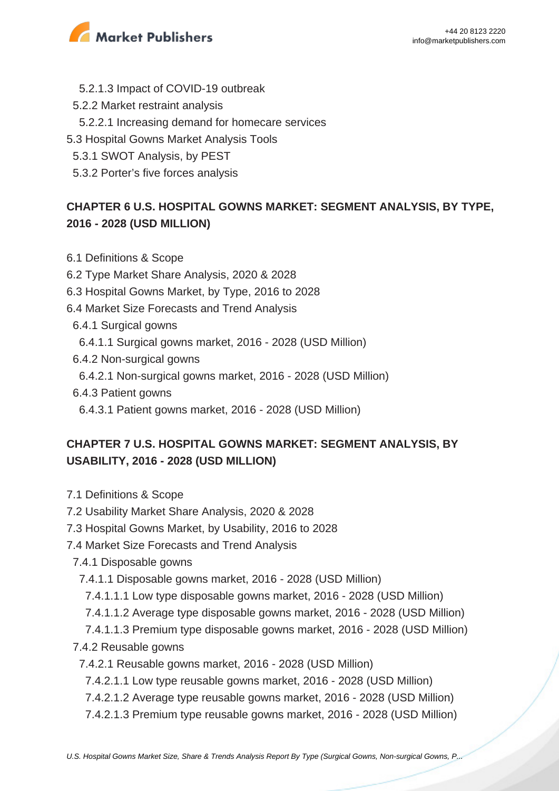

- 5.2.1.3 Impact of COVID-19 outbreak
- 5.2.2 Market restraint analysis
- 5.2.2.1 Increasing demand for homecare services
- 5.3 Hospital Gowns Market Analysis Tools
- 5.3.1 SWOT Analysis, by PEST
- 5.3.2 Porter's five forces analysis

# **CHAPTER 6 U.S. HOSPITAL GOWNS MARKET: SEGMENT ANALYSIS, BY TYPE, 2016 - 2028 (USD MILLION)**

- 6.1 Definitions & Scope
- 6.2 Type Market Share Analysis, 2020 & 2028
- 6.3 Hospital Gowns Market, by Type, 2016 to 2028
- 6.4 Market Size Forecasts and Trend Analysis
	- 6.4.1 Surgical gowns
		- 6.4.1.1 Surgical gowns market, 2016 2028 (USD Million)
	- 6.4.2 Non-surgical gowns
	- 6.4.2.1 Non-surgical gowns market, 2016 2028 (USD Million)
	- 6.4.3 Patient gowns
		- 6.4.3.1 Patient gowns market, 2016 2028 (USD Million)

# **CHAPTER 7 U.S. HOSPITAL GOWNS MARKET: SEGMENT ANALYSIS, BY USABILITY, 2016 - 2028 (USD MILLION)**

- 7.1 Definitions & Scope
- 7.2 Usability Market Share Analysis, 2020 & 2028
- 7.3 Hospital Gowns Market, by Usability, 2016 to 2028
- 7.4 Market Size Forecasts and Trend Analysis
	- 7.4.1 Disposable gowns
		- 7.4.1.1 Disposable gowns market, 2016 2028 (USD Million)
		- 7.4.1.1.1 Low type disposable gowns market, 2016 2028 (USD Million)
		- 7.4.1.1.2 Average type disposable gowns market, 2016 2028 (USD Million)
		- 7.4.1.1.3 Premium type disposable gowns market, 2016 2028 (USD Million)
	- 7.4.2 Reusable gowns
		- 7.4.2.1 Reusable gowns market, 2016 2028 (USD Million)
		- 7.4.2.1.1 Low type reusable gowns market, 2016 2028 (USD Million)
		- 7.4.2.1.2 Average type reusable gowns market, 2016 2028 (USD Million)
		- 7.4.2.1.3 Premium type reusable gowns market, 2016 2028 (USD Million)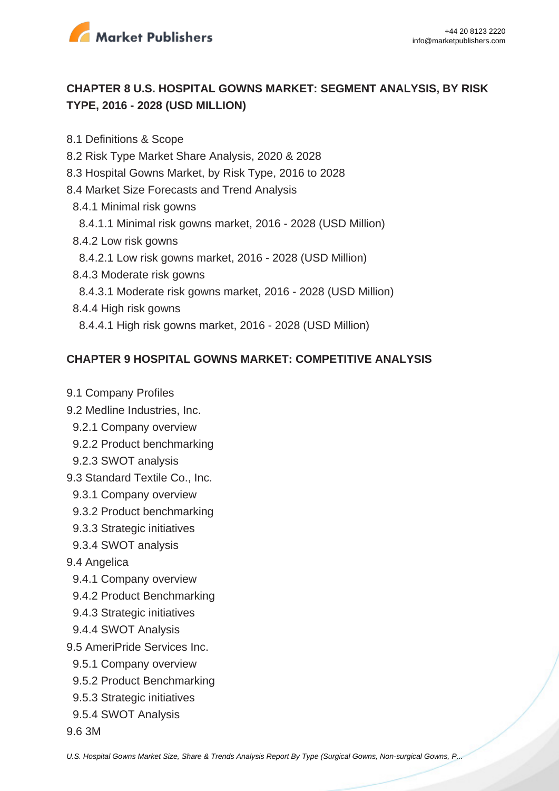

# **CHAPTER 8 U.S. HOSPITAL GOWNS MARKET: SEGMENT ANALYSIS, BY RISK TYPE, 2016 - 2028 (USD MILLION)**

8.1 Definitions & Scope

- 8.2 Risk Type Market Share Analysis, 2020 & 2028
- 8.3 Hospital Gowns Market, by Risk Type, 2016 to 2028
- 8.4 Market Size Forecasts and Trend Analysis
	- 8.4.1 Minimal risk gowns
	- 8.4.1.1 Minimal risk gowns market, 2016 2028 (USD Million)
	- 8.4.2 Low risk gowns
	- 8.4.2.1 Low risk gowns market, 2016 2028 (USD Million)
	- 8.4.3 Moderate risk gowns
	- 8.4.3.1 Moderate risk gowns market, 2016 2028 (USD Million)
	- 8.4.4 High risk gowns
	- 8.4.4.1 High risk gowns market, 2016 2028 (USD Million)

#### **CHAPTER 9 HOSPITAL GOWNS MARKET: COMPETITIVE ANALYSIS**

- 9.1 Company Profiles
- 9.2 Medline Industries, Inc.
	- 9.2.1 Company overview
	- 9.2.2 Product benchmarking
	- 9.2.3 SWOT analysis
- 9.3 Standard Textile Co., Inc.
	- 9.3.1 Company overview
	- 9.3.2 Product benchmarking
	- 9.3.3 Strategic initiatives
	- 9.3.4 SWOT analysis
- 9.4 Angelica
	- 9.4.1 Company overview
	- 9.4.2 Product Benchmarking
	- 9.4.3 Strategic initiatives
	- 9.4.4 SWOT Analysis
- 9.5 AmeriPride Services Inc.
	- 9.5.1 Company overview
	- 9.5.2 Product Benchmarking
	- 9.5.3 Strategic initiatives
	- 9.5.4 SWOT Analysis
- 9.6 3M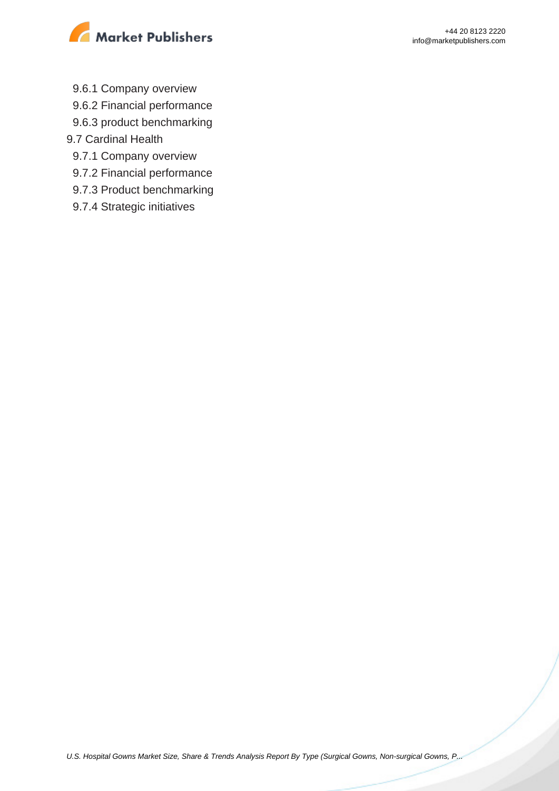

- 9.6.1 Company overview
- 9.6.2 Financial performance
- 9.6.3 product benchmarking
- 9.7 Cardinal Health
	- 9.7.1 Company overview
	- 9.7.2 Financial performance
	- 9.7.3 Product benchmarking
	- 9.7.4 Strategic initiatives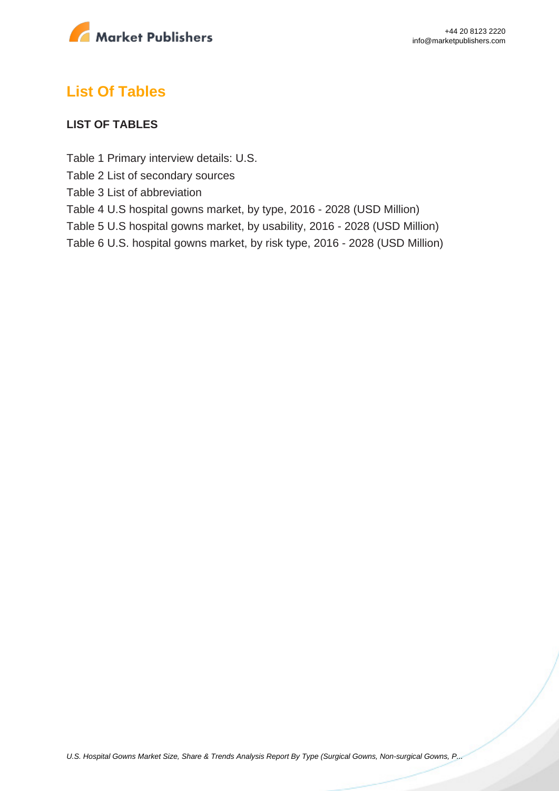

# **List Of Tables**

#### **LIST OF TABLES**

Table 1 Primary interview details: U.S.

Table 2 List of secondary sources

Table 3 List of abbreviation

Table 4 U.S hospital gowns market, by type, 2016 - 2028 (USD Million)

Table 5 U.S hospital gowns market, by usability, 2016 - 2028 (USD Million)

Table 6 U.S. hospital gowns market, by risk type, 2016 - 2028 (USD Million)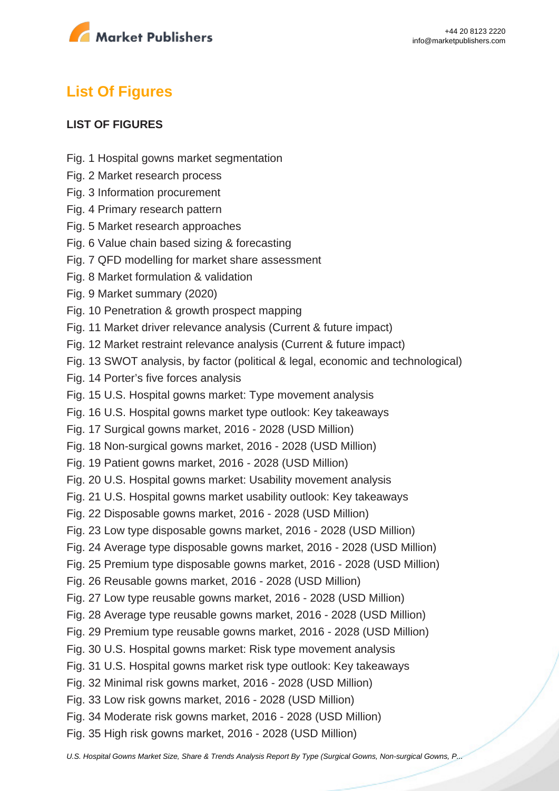

# **List Of Figures**

#### **LIST OF FIGURES**

- Fig. 1 Hospital gowns market segmentation
- Fig. 2 Market research process
- Fig. 3 Information procurement
- Fig. 4 Primary research pattern
- Fig. 5 Market research approaches
- Fig. 6 Value chain based sizing & forecasting
- Fig. 7 QFD modelling for market share assessment
- Fig. 8 Market formulation & validation
- Fig. 9 Market summary (2020)
- Fig. 10 Penetration & growth prospect mapping
- Fig. 11 Market driver relevance analysis (Current & future impact)
- Fig. 12 Market restraint relevance analysis (Current & future impact)
- Fig. 13 SWOT analysis, by factor (political & legal, economic and technological)
- Fig. 14 Porter's five forces analysis
- Fig. 15 U.S. Hospital gowns market: Type movement analysis
- Fig. 16 U.S. Hospital gowns market type outlook: Key takeaways
- Fig. 17 Surgical gowns market, 2016 2028 (USD Million)
- Fig. 18 Non-surgical gowns market, 2016 2028 (USD Million)
- Fig. 19 Patient gowns market, 2016 2028 (USD Million)
- Fig. 20 U.S. Hospital gowns market: Usability movement analysis
- Fig. 21 U.S. Hospital gowns market usability outlook: Key takeaways
- Fig. 22 Disposable gowns market, 2016 2028 (USD Million)
- Fig. 23 Low type disposable gowns market, 2016 2028 (USD Million)
- Fig. 24 Average type disposable gowns market, 2016 2028 (USD Million)
- Fig. 25 Premium type disposable gowns market, 2016 2028 (USD Million)
- Fig. 26 Reusable gowns market, 2016 2028 (USD Million)
- Fig. 27 Low type reusable gowns market, 2016 2028 (USD Million)
- Fig. 28 Average type reusable gowns market, 2016 2028 (USD Million)
- Fig. 29 Premium type reusable gowns market, 2016 2028 (USD Million)
- Fig. 30 U.S. Hospital gowns market: Risk type movement analysis
- Fig. 31 U.S. Hospital gowns market risk type outlook: Key takeaways
- Fig. 32 Minimal risk gowns market, 2016 2028 (USD Million)
- Fig. 33 Low risk gowns market, 2016 2028 (USD Million)
- Fig. 34 Moderate risk gowns market, 2016 2028 (USD Million)
- Fig. 35 High risk gowns market, 2016 2028 (USD Million)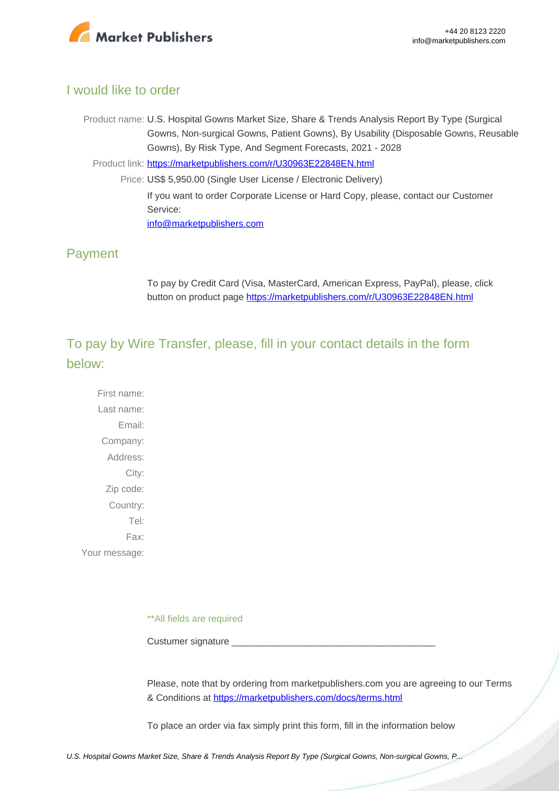

## I would like to order

Product name: U.S. Hospital Gowns Market Size, Share & Trends Analysis Report By Type (Surgical Gowns, Non-surgical Gowns, Patient Gowns), By Usability (Disposable Gowns, Reusable Gowns), By Risk Type, And Segment Forecasts, 2021 - 2028

Product link: [https://marketpublishers.com/r/U30963E22848EN.html](https://marketpublishers.com/report/healthcare/hospital/us-hospital-gowns-market-size-share-trends-analysis-report-by-type-by-usability-by-risk-type-n-segment-forecasts-2020-2027.html)

Price: US\$ 5,950.00 (Single User License / Electronic Delivery) If you want to order Corporate License or Hard Copy, please, contact our Customer Service: [info@marketpublishers.com](mailto:info@marketpublishers.com)

## Payment

To pay by Credit Card (Visa, MasterCard, American Express, PayPal), please, click button on product page [https://marketpublishers.com/r/U30963E22848EN.html](https://marketpublishers.com/report/healthcare/hospital/us-hospital-gowns-market-size-share-trends-analysis-report-by-type-by-usability-by-risk-type-n-segment-forecasts-2020-2027.html)

To pay by Wire Transfer, please, fill in your contact details in the form below:

First name: Last name: Email: Company: Address: City: Zip code: Country: Tel: Fax: Your message:

\*\*All fields are required

Custumer signature \_

Please, note that by ordering from marketpublishers.com you are agreeing to our Terms & Conditions at<https://marketpublishers.com/docs/terms.html>

To place an order via fax simply print this form, fill in the information below